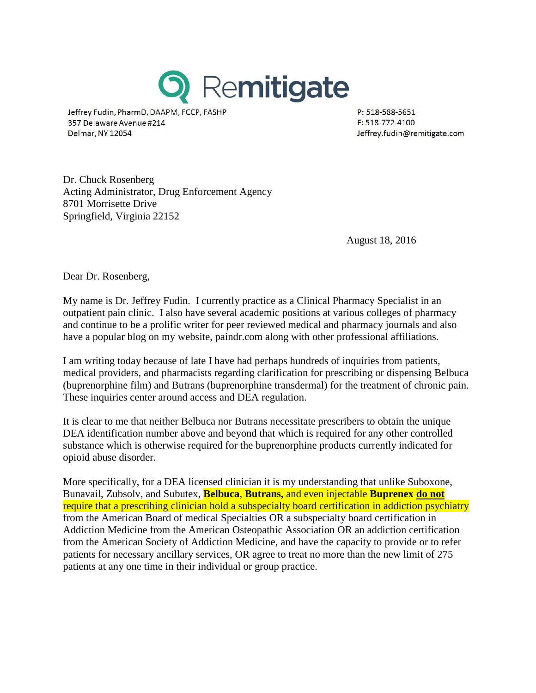

Jeffrey Fudin, PharmD, DAAPM, FCCP, FASHP 357 Delaware Avenue #214 Delmar, NY 12054

P: 518-588-5651 F: 518-772-4100 Jeffrey.fudin@remitigate.com

Dr. Chuck Rosenberg Acting Administrator, Drug Enforcement Agency 8701 Morrisette Drive Springfield, Virginia 22152

August 18, 2016

Dear Dr. Rosenberg,

My name is Dr. Jeffrey Fudin. I currently practice as a Clinical Pharmacy Specialist in an outpatient pain clinic. I also have several academic positions at various colleges of pharmacy and continue to be a prolific writer for peer reviewed medical and pharmacy journals and also have a popular blog on my website, paindr.com along with other professional affiliations.

I am writing today because of late I have had perhaps hundreds of inquiries from patients, medical providers, and pharmacists regarding clarification for prescribing or dispensing Belbuca (buprenorphine film) and Butrans (buprenorphine transdermal) for the treatment of chronic pain. These inquiries center around access and DEA regulation.

It is clear to me that neither Belbuca nor Butrans necessitate prescribers to obtain the unique DEA identification number above and beyond that which is required for any other controlled substance which is otherwise required for the buprenorphine products currently indicated for opioid abuse disorder.

More specifically, for a DEA licensed clinician it is my understanding that unlike Suboxone, Bunavail, Zubsolv, and Subutex, **Belbuca**, **Butrans,** and even injectable **Buprenex do not** require that a prescribing clinician hold a subspecialty board certification in addiction psychiatry from the American Board of medical Specialties OR a subspecialty board certification in Addiction Medicine from the American Osteopathic Association OR an addiction certification from the American Society of Addiction Medicine, and have the capacity to provide or to refer patients for necessary ancillary services, OR agree to treat no more than the new limit of 275 patients at any one time in their individual or group practice.